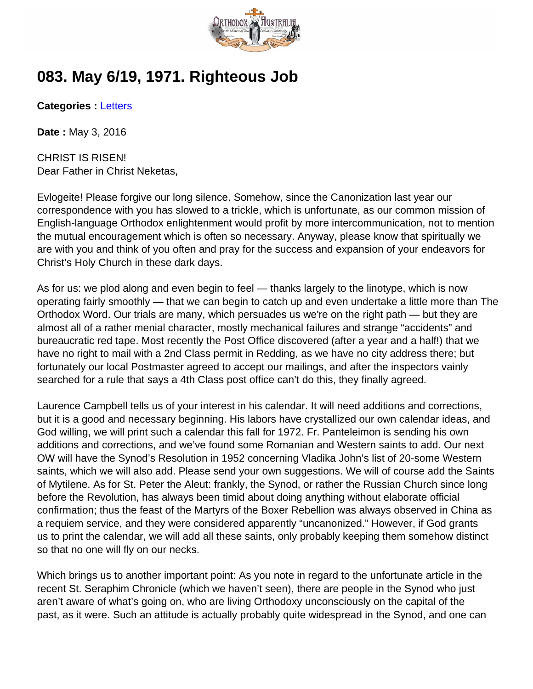

## **083. May 6/19, 1971. Righteous Job**

**Categories :** [Letters](http://orthodoxaustralia.org/category/letters/)

**Date :** May 3, 2016

CHRIST IS RISEN! Dear Father in Christ Neketas,

Evlogeite! Please forgive our long silence. Somehow, since the Canonization last year our correspondence with you has slowed to a trickle, which is unfortunate, as our common mission of English-language Orthodox enlightenment would profit by more intercommunication, not to mention the mutual encouragement which is often so necessary. Anyway, please know that spiritually we are with you and think of you often and pray for the success and expansion of your endeavors for Christ's Holy Church in these dark days.

As for us: we plod along and even begin to feel — thanks largely to the linotype, which is now operating fairly smoothly — that we can begin to catch up and even undertake a little more than The Orthodox Word. Our trials are many, which persuades us we're on the right path — but they are almost all of a rather menial character, mostly mechanical failures and strange "accidents" and bureaucratic red tape. Most recently the Post Office discovered (after a year and a half!) that we have no right to mail with a 2nd Class permit in Redding, as we have no city address there; but fortunately our local Postmaster agreed to accept our mailings, and after the inspectors vainly searched for a rule that says a 4th Class post office can't do this, they finally agreed.

Laurence Campbell tells us of your interest in his calendar. It will need additions and corrections, but it is a good and necessary beginning. His labors have crystallized our own calendar ideas, and God willing, we will print such a calendar this fall for 1972. Fr. Panteleimon is sending his own additions and corrections, and we've found some Romanian and Western saints to add. Our next OW will have the Synod's Resolution in 1952 concerning Vladika John's list of 20-some Western saints, which we will also add. Please send your own suggestions. We will of course add the Saints of Mytilene. As for St. Peter the Aleut: frankly, the Synod, or rather the Russian Church since long before the Revolution, has always been timid about doing anything without elaborate official confirmation; thus the feast of the Martyrs of the Boxer Rebellion was always observed in China as a requiem service, and they were considered apparently "uncanonized." However, if God grants us to print the calendar, we will add all these saints, only probably keeping them somehow distinct so that no one will fly on our necks.

Which brings us to another important point: As you note in regard to the unfortunate article in the recent St. Seraphim Chronicle (which we haven't seen), there are people in the Synod who just aren't aware of what's going on, who are living Orthodoxy unconsciously on the capital of the past, as it were. Such an attitude is actually probably quite widespread in the Synod, and one can